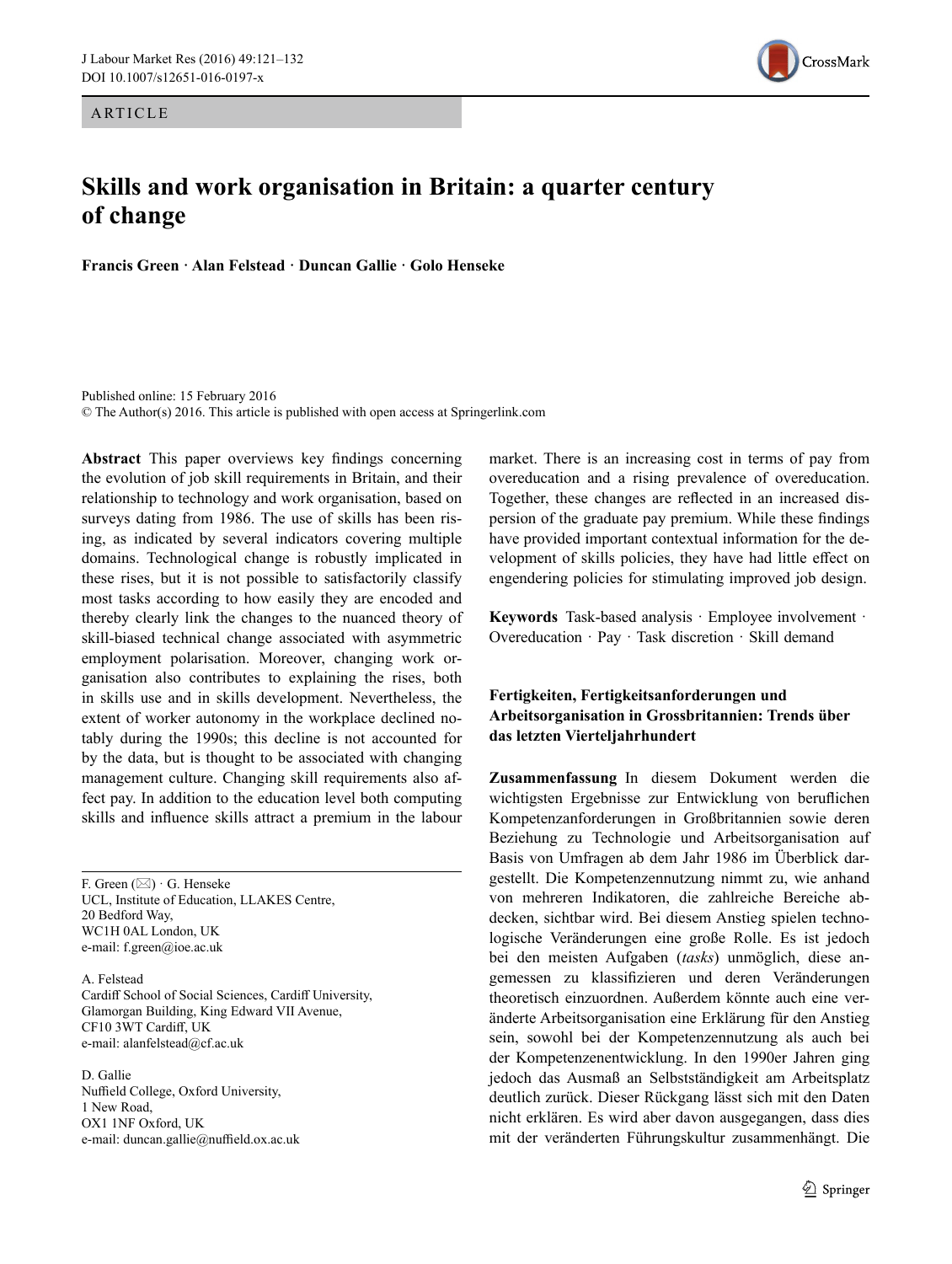ARTICLE



# **Skills and work organisation in Britain: a quarter century of change**

**Francis Green · Alan Felstead · Duncan Gallie · Golo Henseke**

Published online: 15 February 2016 © The Author(s) 2016. This article is published with open access at Springerlink.com

**Abstract** This paper overviews key findings concerning the evolution of job skill requirements in Britain, and their relationship to technology and work organisation, based on surveys dating from 1986. The use of skills has been rising, as indicated by several indicators covering multiple domains. Technological change is robustly implicated in these rises, but it is not possible to satisfactorily classify most tasks according to how easily they are encoded and thereby clearly link the changes to the nuanced theory of skill-biased technical change associated with asymmetric employment polarisation. Moreover, changing work organisation also contributes to explaining the rises, both in skills use and in skills development. Nevertheless, the extent of worker autonomy in the workplace declined notably during the 1990s; this decline is not accounted for by the data, but is thought to be associated with changing management culture. Changing skill requirements also affect pay. In addition to the education level both computing skills and influence skills attract a premium in the labour

F. Green  $(\boxtimes) \cdot$  G. Henseke UCL, Institute of Education, LLAKES Centre, 20 Bedford Way, WC1H 0AL London, UK e-mail: f.green@ioe.ac.uk

A. Felstead Cardiff School of Social Sciences, Cardiff University, Glamorgan Building, King Edward VII Avenue, CF10 3WT Cardiff, UK e-mail: alanfelstead@cf.ac.uk

D. Gallie Nuffield College, Oxford University, 1 New Road, OX1 1NF Oxford, UK e-mail: duncan.gallie@nuffield.ox.ac.uk

market. There is an increasing cost in terms of pay from overeducation and a rising prevalence of overeducation. Together, these changes are reflected in an increased dispersion of the graduate pay premium. While these findings have provided important contextual information for the development of skills policies, they have had little effect on engendering policies for stimulating improved job design.

**Keywords** Task-based analysis · Employee involvement · Overeducation · Pay · Task discretion · Skill demand

# **Fertigkeiten, Fertigkeitsanforderungen und Arbeitsorganisation in Grossbritannien: Trends über das letzten Vierteljahrhundert**

**Zusammenfassung** In diesem Dokument werden die wichtigsten Ergebnisse zur Entwicklung von beruflichen Kompetenzanforderungen in Großbritannien sowie deren Beziehung zu Technologie und Arbeitsorganisation auf Basis von Umfragen ab dem Jahr 1986 im Überblick dargestellt. Die Kompetenzennutzung nimmt zu, wie anhand von mehreren Indikatoren, die zahlreiche Bereiche abdecken, sichtbar wird. Bei diesem Anstieg spielen technologische Veränderungen eine große Rolle. Es ist jedoch bei den meisten Aufgaben (*tasks*) unmöglich, diese angemessen zu klassifizieren und deren Veränderungen theoretisch einzuordnen. Außerdem könnte auch eine veränderte Arbeitsorganisation eine Erklärung für den Anstieg sein, sowohl bei der Kompetenzennutzung als auch bei der Kompetenzenentwicklung. In den 1990er Jahren ging jedoch das Ausmaß an Selbstständigkeit am Arbeitsplatz deutlich zurück. Dieser Rückgang lässt sich mit den Daten nicht erklären. Es wird aber davon ausgegangen, dass dies mit der veränderten Führungskultur zusammenhängt. Die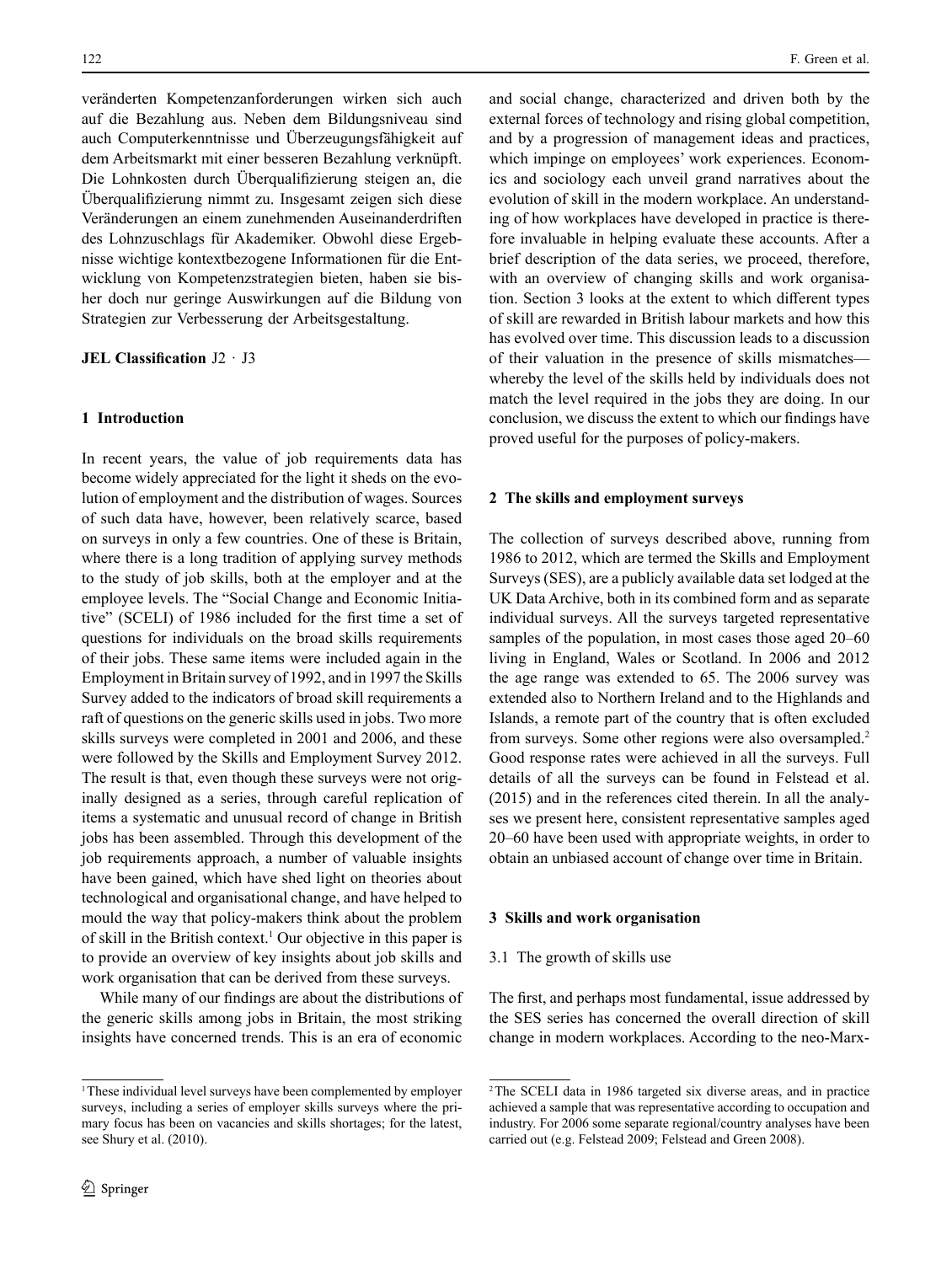veränderten Kompetenzanforderungen wirken sich auch auf die Bezahlung aus. Neben dem Bildungsniveau sind auch Computerkenntnisse und Überzeugungsfähigkeit auf dem Arbeitsmarkt mit einer besseren Bezahlung verknüpft. Die Lohnkosten durch Überqualifizierung steigen an, die Überqualifizierung nimmt zu. Insgesamt zeigen sich diese Veränderungen an einem zunehmenden Auseinanderdriften des Lohnzuschlags für Akademiker. Obwohl diese Ergebnisse wichtige kontextbezogene Informationen für die Entwicklung von Kompetenzstrategien bieten, haben sie bisher doch nur geringe Auswirkungen auf die Bildung von Strategien zur Verbesserung der Arbeitsgestaltung.

**JEL Classification** J2 · J3

## **1 Introduction**

In recent years, the value of job requirements data has become widely appreciated for the light it sheds on the evolution of employment and the distribution of wages. Sources of such data have, however, been relatively scarce, based on surveys in only a few countries. One of these is Britain, where there is a long tradition of applying survey methods to the study of job skills, both at the employer and at the employee levels. The "Social Change and Economic Initiative" (SCELI) of 1986 included for the first time a set of questions for individuals on the broad skills requirements of their jobs. These same items were included again in the Employment in Britain survey of 1992, and in 1997 the Skills Survey added to the indicators of broad skill requirements a raft of questions on the generic skills used in jobs. Two more skills surveys were completed in 2001 and 2006, and these were followed by the Skills and Employment Survey 2012. The result is that, even though these surveys were not originally designed as a series, through careful replication of items a systematic and unusual record of change in British jobs has been assembled. Through this development of the job requirements approach, a number of valuable insights have been gained, which have shed light on theories about technological and organisational change, and have helped to mould the way that policy-makers think about the problem of skill in the British context.<sup>1</sup> Our objective in this paper is to provide an overview of key insights about job skills and work organisation that can be derived from these surveys.

While many of our findings are about the distributions of the generic skills among jobs in Britain, the most striking insights have concerned trends. This is an era of economic

and social change, characterized and driven both by the external forces of technology and rising global competition, and by a progression of management ideas and practices, which impinge on employees' work experiences. Economics and sociology each unveil grand narratives about the evolution of skill in the modern workplace. An understanding of how workplaces have developed in practice is therefore invaluable in helping evaluate these accounts. After a brief description of the data series, we proceed, therefore, with an overview of changing skills and work organisation. Section 3 looks at the extent to which different types of skill are rewarded in British labour markets and how this has evolved over time. This discussion leads to a discussion of their valuation in the presence of skills mismatches whereby the level of the skills held by individuals does not match the level required in the jobs they are doing. In our conclusion, we discuss the extent to which our findings have proved useful for the purposes of policy-makers.

## **2 The skills and employment surveys**

The collection of surveys described above, running from 1986 to 2012, which are termed the Skills and Employment Surveys (SES), are a publicly available data set lodged at the UK Data Archive, both in its combined form and as separate individual surveys. All the surveys targeted representative samples of the population, in most cases those aged 20–60 living in England, Wales or Scotland. In 2006 and 2012 the age range was extended to 65. The 2006 survey was extended also to Northern Ireland and to the Highlands and Islands, a remote part of the country that is often excluded from surveys. Some other regions were also oversampled.<sup>2</sup> Good response rates were achieved in all the surveys. Full details of all the surveys can be found in Felstead et al. [\(2015](#page-10-1)) and in the references cited therein. In all the analyses we present here, consistent representative samples aged 20–60 have been used with appropriate weights, in order to obtain an unbiased account of change over time in Britain.

#### **3 Skills and work organisation**

### 3.1 The growth of skills use

The first, and perhaps most fundamental, issue addressed by the SES series has concerned the overall direction of skill change in modern workplaces. According to the neo-Marx-

<sup>&</sup>lt;sup>1</sup>These individual level surveys have been complemented by employer surveys, including a series of employer skills surveys where the primary focus has been on vacancies and skills shortages; for the latest, see Shury et al. ([2010\)](#page-10-0).

<sup>2</sup>The SCELI data in 1986 targeted six diverse areas, and in practice achieved a sample that was representative according to occupation and industry. For 2006 some separate regional/country analyses have been carried out (e.g. Felstead [2009;](#page-10-2) Felstead and Green [2008\)](#page-10-3).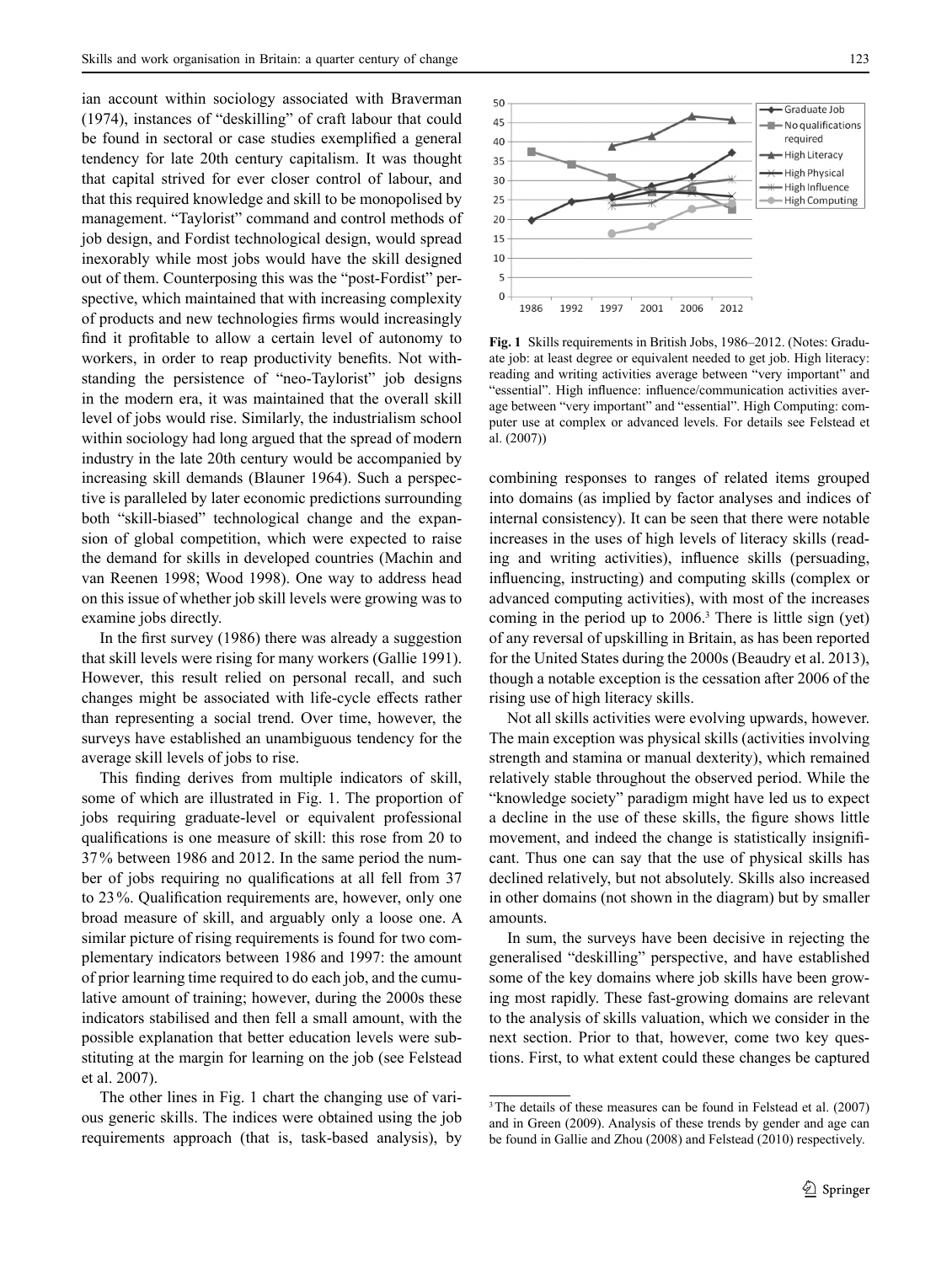ian account within sociology associated with Braverman [\(1974](#page-10-9)), instances of "deskilling" of craft labour that could be found in sectoral or case studies exemplified a general tendency for late 20th century capitalism. It was thought that capital strived for ever closer control of labour, and that this required knowledge and skill to be monopolised by management. "Taylorist" command and control methods of job design, and Fordist technological design, would spread inexorably while most jobs would have the skill designed out of them. Counterposing this was the "post-Fordist" perspective, which maintained that with increasing complexity of products and new technologies firms would increasingly find it profitable to allow a certain level of autonomy to workers, in order to reap productivity benefits. Not withstanding the persistence of "neo-Taylorist" job designs in the modern era, it was maintained that the overall skill level of jobs would rise. Similarly, the industrialism school within sociology had long argued that the spread of modern industry in the late 20th century would be accompanied by increasing skill demands (Blauner [1964](#page-10-10)). Such a perspective is paralleled by later economic predictions surrounding both "skill-biased" technological change and the expansion of global competition, which were expected to raise the demand for skills in developed countries (Machin and van Reenen [1998](#page-10-11); Wood [1998\)](#page-10-12). One way to address head on this issue of whether job skill levels were growing was to examine jobs directly.

In the first survey (1986) there was already a suggestion that skill levels were rising for many workers (Gallie [1991](#page-10-13)). However, this result relied on personal recall, and such changes might be associated with life-cycle effects rather than representing a social trend. Over time, however, the surveys have established an unambiguous tendency for the average skill levels of jobs to rise.

This finding derives from multiple indicators of skill, some of which are illustrated in Fig. [1](#page-2-0). The proportion of jobs requiring graduate-level or equivalent professional qualifications is one measure of skill: this rose from 20 to 37% between 1986 and 2012. In the same period the number of jobs requiring no qualifications at all fell from 37 to 23%. Qualification requirements are, however, only one broad measure of skill, and arguably only a loose one. A similar picture of rising requirements is found for two complementary indicators between 1986 and 1997: the amount of prior learning time required to do each job, and the cumulative amount of training; however, during the 2000s these indicators stabilised and then fell a small amount, with the possible explanation that better education levels were substituting at the margin for learning on the job (see Felstead et al. [2007\)](#page-10-5).

The other lines in Fig. [1](#page-2-0) chart the changing use of various generic skills. The indices were obtained using the job requirements approach (that is, task-based analysis), by

<span id="page-2-0"></span>

**Fig. 1** Skills requirements in British Jobs, 1986–2012. (Notes: Graduate job: at least degree or equivalent needed to get job. High literacy: reading and writing activities average between "very important" and "essential". High influence: influence/communication activities average between "very important" and "essential". High Computing: computer use at complex or advanced levels. For details see Felstead et al. [\(2007](#page-10-5)))

combining responses to ranges of related items grouped into domains (as implied by factor analyses and indices of internal consistency). It can be seen that there were notable increases in the uses of high levels of literacy skills (reading and writing activities), influence skills (persuading, influencing, instructing) and computing skills (complex or advanced computing activities), with most of the increases coming in the period up to  $2006<sup>3</sup>$ . There is little sign (yet) of any reversal of upskilling in Britain, as has been reported for the United States during the 2000s (Beaudry et al. [2013](#page-10-4)), though a notable exception is the cessation after 2006 of the rising use of high literacy skills.

Not all skills activities were evolving upwards, however. The main exception was physical skills (activities involving strength and stamina or manual dexterity), which remained relatively stable throughout the observed period. While the "knowledge society" paradigm might have led us to expect a decline in the use of these skills, the figure shows little movement, and indeed the change is statistically insignificant. Thus one can say that the use of physical skills has declined relatively, but not absolutely. Skills also increased in other domains (not shown in the diagram) but by smaller amounts.

In sum, the surveys have been decisive in rejecting the generalised "deskilling" perspective, and have established some of the key domains where job skills have been growing most rapidly. These fast-growing domains are relevant to the analysis of skills valuation, which we consider in the next section. Prior to that, however, come two key questions. First, to what extent could these changes be captured

<sup>&</sup>lt;sup>3</sup>The details of these measures can be found in Felstead et al. [\(2007](#page-10-5)) and in Green ([2009\)](#page-10-6). Analysis of these trends by gender and age can be found in Gallie and Zhou [\(2008](#page-10-7)) and Felstead ([2010\)](#page-10-8) respectively.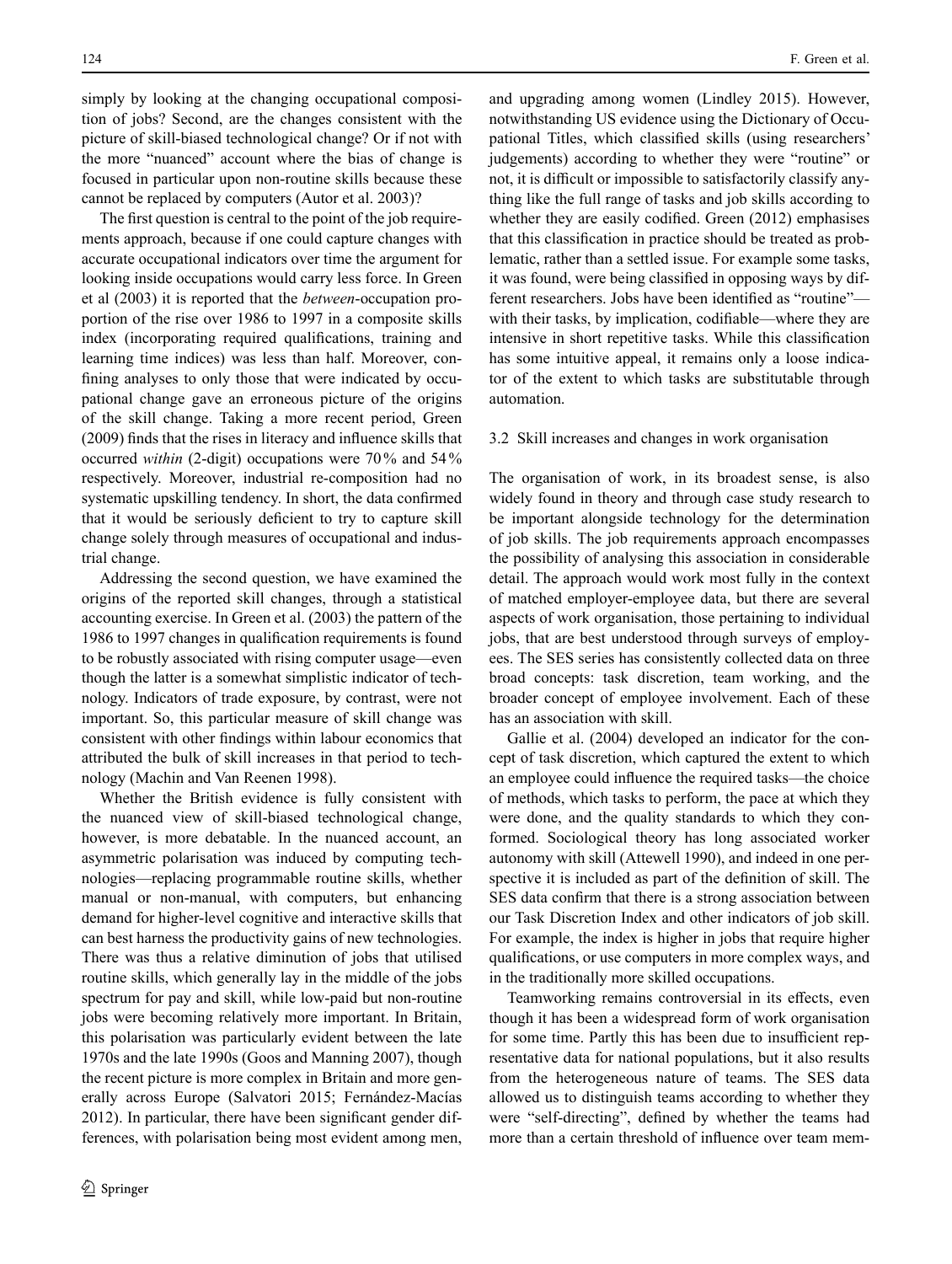simply by looking at the changing occupational composition of jobs? Second, are the changes consistent with the picture of skill-biased technological change? Or if not with the more "nuanced" account where the bias of change is focused in particular upon non-routine skills because these cannot be replaced by computers (Autor et al. [2003](#page-10-18))?

The first question is central to the point of the job requirements approach, because if one could capture changes with accurate occupational indicators over time the argument for looking inside occupations would carry less force. In Green et al ([2003\)](#page-10-19) it is reported that the *between*-occupation proportion of the rise over 1986 to 1997 in a composite skills index (incorporating required qualifications, training and learning time indices) was less than half. Moreover, confining analyses to only those that were indicated by occupational change gave an erroneous picture of the origins of the skill change. Taking a more recent period, Green [\(2009](#page-10-6)) finds that the rises in literacy and influence skills that occurred *within* (2-digit) occupations were 70% and 54% respectively. Moreover, industrial re-composition had no systematic upskilling tendency. In short, the data confirmed that it would be seriously deficient to try to capture skill change solely through measures of occupational and industrial change.

Addressing the second question, we have examined the origins of the reported skill changes, through a statistical accounting exercise. In Green et al. [\(2003](#page-10-19)) the pattern of the 1986 to 1997 changes in qualification requirements is found to be robustly associated with rising computer usage—even though the latter is a somewhat simplistic indicator of technology. Indicators of trade exposure, by contrast, were not important. So, this particular measure of skill change was consistent with other findings within labour economics that attributed the bulk of skill increases in that period to technology (Machin and Van Reenen [1998\)](#page-10-11).

Whether the British evidence is fully consistent with the nuanced view of skill-biased technological change, however, is more debatable. In the nuanced account, an asymmetric polarisation was induced by computing technologies—replacing programmable routine skills, whether manual or non-manual, with computers, but enhancing demand for higher-level cognitive and interactive skills that can best harness the productivity gains of new technologies. There was thus a relative diminution of jobs that utilised routine skills, which generally lay in the middle of the jobs spectrum for pay and skill, while low-paid but non-routine jobs were becoming relatively more important. In Britain, this polarisation was particularly evident between the late 1970s and the late 1990s (Goos and Manning [2007](#page-10-20)), though the recent picture is more complex in Britain and more generally across Europe (Salvatori [2015](#page-10-21); Fernández-Macías [2012](#page-10-22)). In particular, there have been significant gender differences, with polarisation being most evident among men, and upgrading among women (Lindley [2015](#page-10-14)). However, notwithstanding US evidence using the Dictionary of Occupational Titles, which classified skills (using researchers' judgements) according to whether they were "routine" or not, it is difficult or impossible to satisfactorily classify anything like the full range of tasks and job skills according to whether they are easily codified. Green ([2012](#page-10-15)) emphasises that this classification in practice should be treated as problematic, rather than a settled issue. For example some tasks, it was found, were being classified in opposing ways by different researchers. Jobs have been identified as "routine" with their tasks, by implication, codifiable—where they are intensive in short repetitive tasks. While this classification has some intuitive appeal, it remains only a loose indicator of the extent to which tasks are substitutable through automation.

## 3.2 Skill increases and changes in work organisation

The organisation of work, in its broadest sense, is also widely found in theory and through case study research to be important alongside technology for the determination of job skills. The job requirements approach encompasses the possibility of analysing this association in considerable detail. The approach would work most fully in the context of matched employer-employee data, but there are several aspects of work organisation, those pertaining to individual jobs, that are best understood through surveys of employees. The SES series has consistently collected data on three broad concepts: task discretion, team working, and the broader concept of employee involvement. Each of these has an association with skill.

Gallie et al. ([2004\)](#page-10-16) developed an indicator for the concept of task discretion, which captured the extent to which an employee could influence the required tasks—the choice of methods, which tasks to perform, the pace at which they were done, and the quality standards to which they conformed. Sociological theory has long associated worker autonomy with skill (Attewell [1990\)](#page-10-17), and indeed in one perspective it is included as part of the definition of skill. The SES data confirm that there is a strong association between our Task Discretion Index and other indicators of job skill. For example, the index is higher in jobs that require higher qualifications, or use computers in more complex ways, and in the traditionally more skilled occupations.

Teamworking remains controversial in its effects, even though it has been a widespread form of work organisation for some time. Partly this has been due to insufficient representative data for national populations, but it also results from the heterogeneous nature of teams. The SES data allowed us to distinguish teams according to whether they were "self-directing", defined by whether the teams had more than a certain threshold of influence over team mem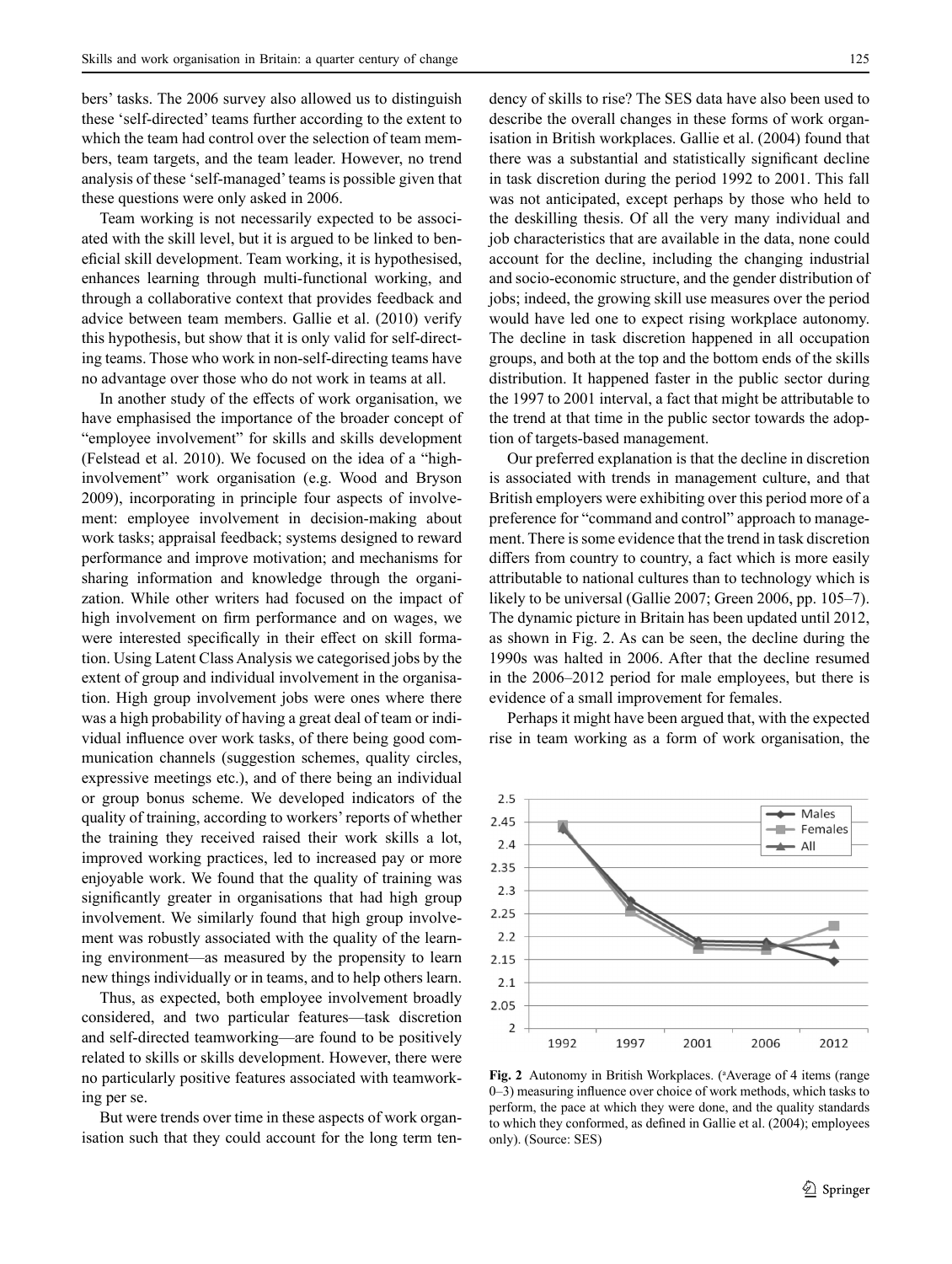bers' tasks. The 2006 survey also allowed us to distinguish these 'self-directed' teams further according to the extent to which the team had control over the selection of team members, team targets, and the team leader. However, no trend analysis of these 'self-managed' teams is possible given that these questions were only asked in 2006.

Team working is not necessarily expected to be associated with the skill level, but it is argued to be linked to beneficial skill development. Team working, it is hypothesised, enhances learning through multi-functional working, and through a collaborative context that provides feedback and advice between team members. Gallie et al. [\(2010](#page-10-25)) verify this hypothesis, but show that it is only valid for self-directing teams. Those who work in non-self-directing teams have no advantage over those who do not work in teams at all.

In another study of the effects of work organisation, we have emphasised the importance of the broader concept of "employee involvement" for skills and skills development (Felstead et al. [2010\)](#page-10-26). We focused on the idea of a "highinvolvement" work organisation (e.g. Wood and Bryson [2009](#page-10-27)), incorporating in principle four aspects of involvement: employee involvement in decision-making about work tasks; appraisal feedback; systems designed to reward performance and improve motivation; and mechanisms for sharing information and knowledge through the organization. While other writers had focused on the impact of high involvement on firm performance and on wages, we were interested specifically in their effect on skill formation. Using Latent Class Analysis we categorised jobs by the extent of group and individual involvement in the organisation. High group involvement jobs were ones where there was a high probability of having a great deal of team or individual influence over work tasks, of there being good communication channels (suggestion schemes, quality circles, expressive meetings etc.), and of there being an individual or group bonus scheme. We developed indicators of the quality of training, according to workers' reports of whether the training they received raised their work skills a lot, improved working practices, led to increased pay or more enjoyable work. We found that the quality of training was significantly greater in organisations that had high group involvement. We similarly found that high group involvement was robustly associated with the quality of the learning environment—as measured by the propensity to learn new things individually or in teams, and to help others learn.

Thus, as expected, both employee involvement broadly considered, and two particular features—task discretion and self-directed teamworking—are found to be positively related to skills or skills development. However, there were no particularly positive features associated with teamworking per se.

But were trends over time in these aspects of work organisation such that they could account for the long term tendency of skills to rise? The SES data have also been used to describe the overall changes in these forms of work organisation in British workplaces. Gallie et al. ([2004\)](#page-10-16) found that there was a substantial and statistically significant decline in task discretion during the period 1992 to 2001. This fall was not anticipated, except perhaps by those who held to the deskilling thesis. Of all the very many individual and job characteristics that are available in the data, none could account for the decline, including the changing industrial and socio-economic structure, and the gender distribution of jobs; indeed, the growing skill use measures over the period would have led one to expect rising workplace autonomy. The decline in task discretion happened in all occupation groups, and both at the top and the bottom ends of the skills distribution. It happened faster in the public sector during the 1997 to 2001 interval, a fact that might be attributable to the trend at that time in the public sector towards the adoption of targets-based management.

Our preferred explanation is that the decline in discretion is associated with trends in management culture, and that British employers were exhibiting over this period more of a preference for "command and control" approach to management. There is some evidence that the trend in task discretion differs from country to country, a fact which is more easily attributable to national cultures than to technology which is likely to be universal (Gallie [2007](#page-10-23); Green [2006,](#page-10-24) pp. 105–7). The dynamic picture in Britain has been updated until 2012, as shown in Fig. [2](#page-4-0). As can be seen, the decline during the 1990s was halted in 2006. After that the decline resumed in the 2006–2012 period for male employees, but there is evidence of a small improvement for females.

Perhaps it might have been argued that, with the expected rise in team working as a form of work organisation, the

<span id="page-4-0"></span>

Fig. 2 Autonomy in British Workplaces. (<sup>a</sup>Average of 4 items (range 0–3) measuring influence over choice of work methods, which tasks to perform, the pace at which they were done, and the quality standards to which they conformed, as defined in Gallie et al. ([2004\)](#page-10-16); employees only). (Source: SES)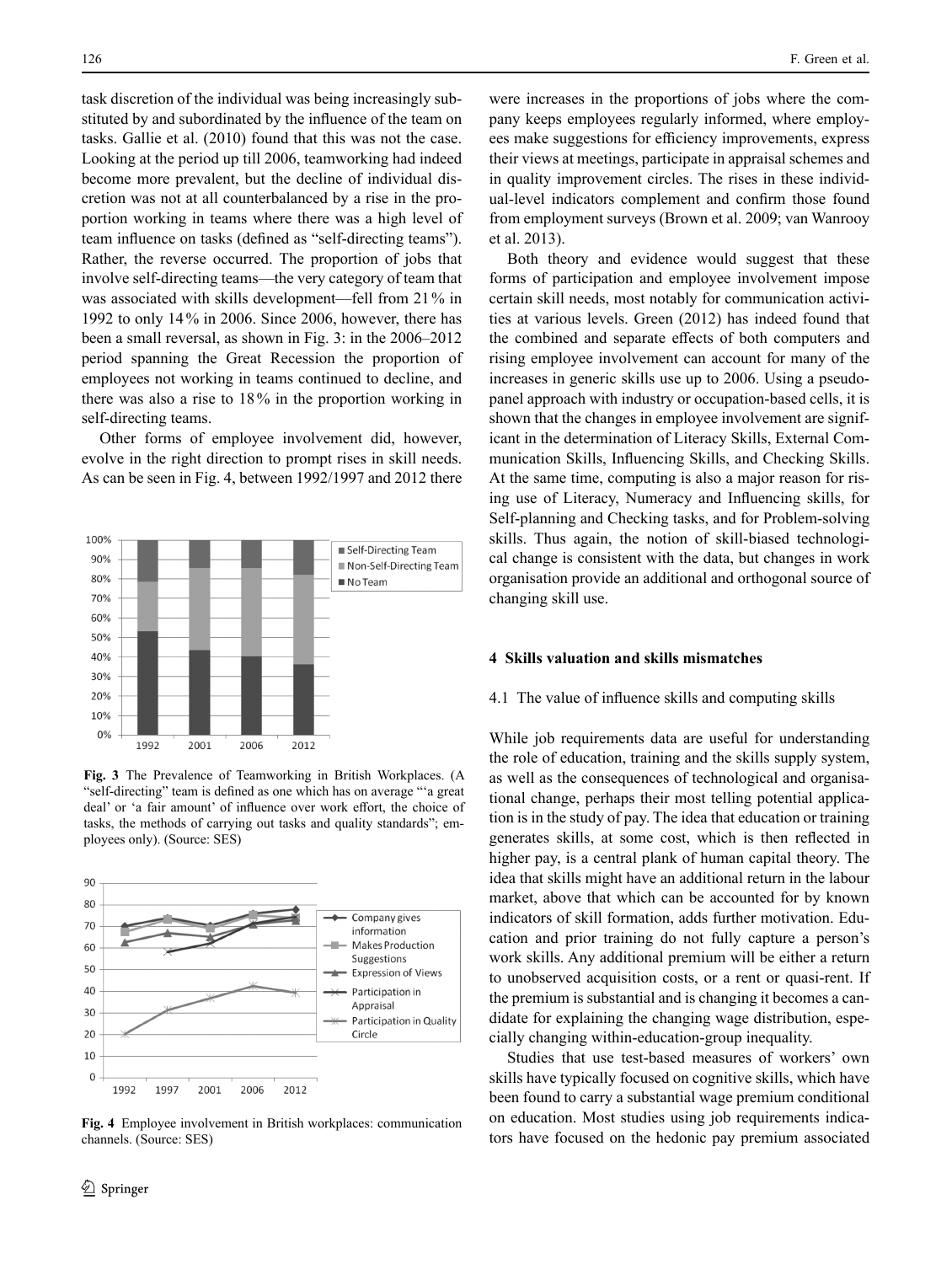task discretion of the individual was being increasingly substituted by and subordinated by the influence of the team on tasks. Gallie et al. ([2010\)](#page-10-25) found that this was not the case. Looking at the period up till 2006, teamworking had indeed become more prevalent, but the decline of individual discretion was not at all counterbalanced by a rise in the proportion working in teams where there was a high level of team influence on tasks (defined as "self-directing teams"). Rather, the reverse occurred. The proportion of jobs that involve self-directing teams—the very category of team that was associated with skills development—fell from 21% in 1992 to only 14% in 2006. Since 2006, however, there has been a small reversal, as shown in Fig. [3:](#page-5-0) in the 2006–2012 period spanning the Great Recession the proportion of employees not working in teams continued to decline, and there was also a rise to 18% in the proportion working in self-directing teams.

Other forms of employee involvement did, however, evolve in the right direction to prompt rises in skill needs. As can be seen in Fig. [4](#page-5-1), between 1992/1997 and 2012 there

<span id="page-5-0"></span>

**Fig. 3** The Prevalence of Teamworking in British Workplaces. (A "self-directing" team is defined as one which has on average "'a great deal' or 'a fair amount' of influence over work effort, the choice of tasks, the methods of carrying out tasks and quality standards"; employees only). (Source: SES)

<span id="page-5-1"></span>

**Fig. 4** Employee involvement in British workplaces: communication channels. (Source: SES)

were increases in the proportions of jobs where the company keeps employees regularly informed, where employees make suggestions for efficiency improvements, express their views at meetings, participate in appraisal schemes and in quality improvement circles. The rises in these individual-level indicators complement and confirm those found from employment surveys (Brown et al. [2009;](#page-10-28) van Wanrooy et al. [2013](#page-10-29)).

Both theory and evidence would suggest that these forms of participation and employee involvement impose certain skill needs, most notably for communication activities at various levels. Green [\(2012](#page-10-15)) has indeed found that the combined and separate effects of both computers and rising employee involvement can account for many of the increases in generic skills use up to 2006. Using a pseudopanel approach with industry or occupation-based cells, it is shown that the changes in employee involvement are significant in the determination of Literacy Skills, External Communication Skills, Influencing Skills, and Checking Skills. At the same time, computing is also a major reason for rising use of Literacy, Numeracy and Influencing skills, for Self-planning and Checking tasks, and for Problem-solving skills. Thus again, the notion of skill-biased technological change is consistent with the data, but changes in work organisation provide an additional and orthogonal source of changing skill use.

## **4 Skills valuation and skills mismatches**

## 4.1 The value of influence skills and computing skills

While job requirements data are useful for understanding the role of education, training and the skills supply system, as well as the consequences of technological and organisational change, perhaps their most telling potential application is in the study of pay. The idea that education or training generates skills, at some cost, which is then reflected in higher pay, is a central plank of human capital theory. The idea that skills might have an additional return in the labour market, above that which can be accounted for by known indicators of skill formation, adds further motivation. Education and prior training do not fully capture a person's work skills. Any additional premium will be either a return to unobserved acquisition costs, or a rent or quasi-rent. If the premium is substantial and is changing it becomes a candidate for explaining the changing wage distribution, especially changing within-education-group inequality.

Studies that use test-based measures of workers' own skills have typically focused on cognitive skills, which have been found to carry a substantial wage premium conditional on education. Most studies using job requirements indicators have focused on the hedonic pay premium associated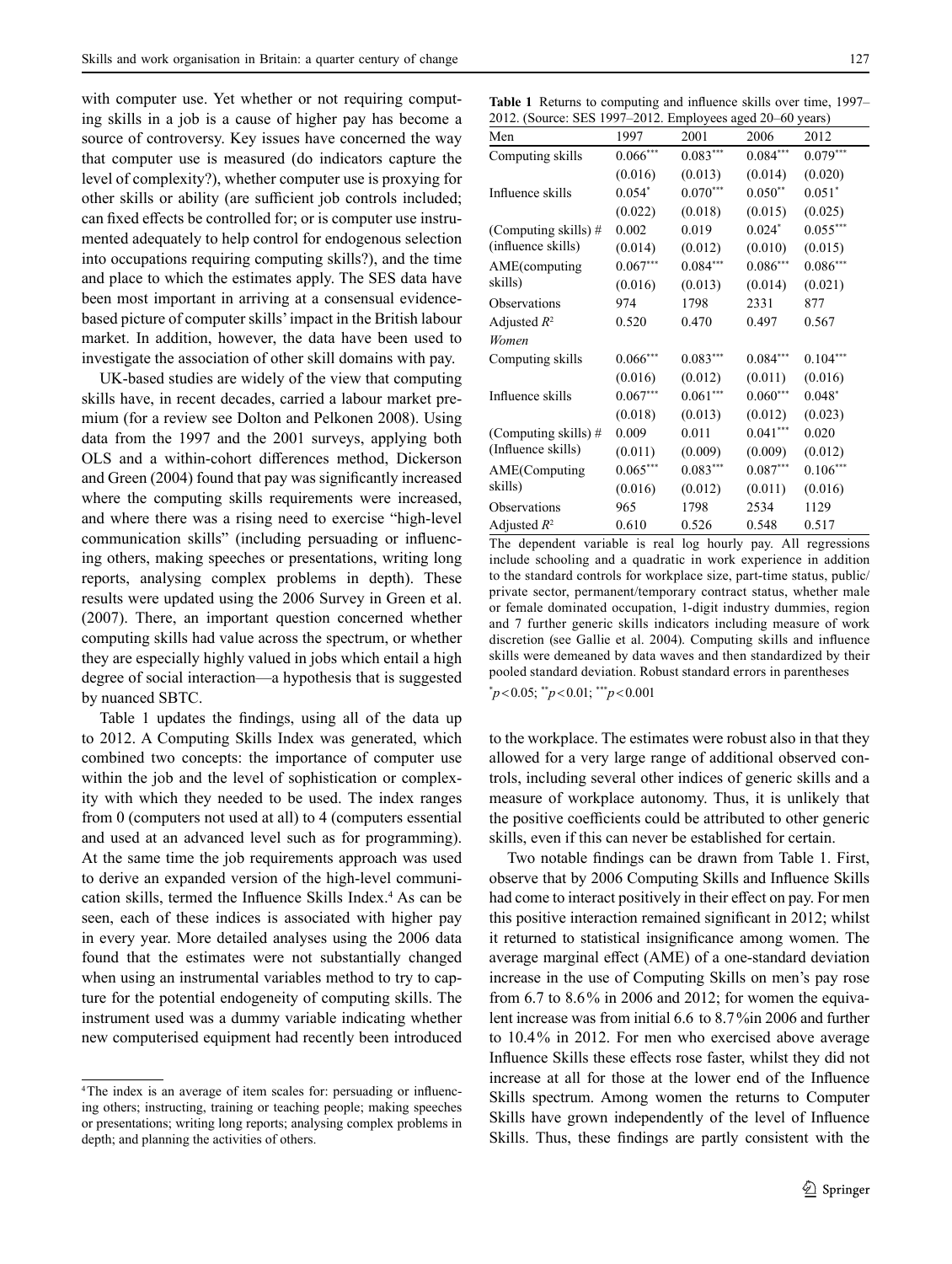with computer use. Yet whether or not requiring computing skills in a job is a cause of higher pay has become a source of controversy. Key issues have concerned the way that computer use is measured (do indicators capture the level of complexity?), whether computer use is proxying for other skills or ability (are sufficient job controls included; can fixed effects be controlled for; or is computer use instrumented adequately to help control for endogenous selection into occupations requiring computing skills?), and the time and place to which the estimates apply. The SES data have been most important in arriving at a consensual evidencebased picture of computer skills' impact in the British labour market. In addition, however, the data have been used to investigate the association of other skill domains with pay.

UK-based studies are widely of the view that computing skills have, in recent decades, carried a labour market premium (for a review see Dolton and Pelkonen [2008](#page-10-30)). Using data from the 1997 and the 2001 surveys, applying both OLS and a within-cohort differences method, Dickerson and Green [\(2004](#page-10-31)) found that pay was significantly increased where the computing skills requirements were increased, and where there was a rising need to exercise "high-level communication skills" (including persuading or influencing others, making speeches or presentations, writing long reports, analysing complex problems in depth). These results were updated using the 2006 Survey in Green et al. [\(2007](#page-10-32)). There, an important question concerned whether computing skills had value across the spectrum, or whether they are especially highly valued in jobs which entail a high degree of social interaction—a hypothesis that is suggested by nuanced SBTC.

Table [1](#page-6-0) updates the findings, using all of the data up to 2012. A Computing Skills Index was generated, which combined two concepts: the importance of computer use within the job and the level of sophistication or complexity with which they needed to be used. The index ranges from 0 (computers not used at all) to 4 (computers essential and used at an advanced level such as for programming). At the same time the job requirements approach was used to derive an expanded version of the high-level communication skills, termed the Influence Skills Index.<sup>4</sup> As can be seen, each of these indices is associated with higher pay in every year. More detailed analyses using the 2006 data found that the estimates were not substantially changed when using an instrumental variables method to try to capture for the potential endogeneity of computing skills. The instrument used was a dummy variable indicating whether new computerised equipment had recently been introduced

<span id="page-6-0"></span>**Table 1** Returns to computing and influence skills over time, 1997– 2012. (Source: SES 1997–2012. Employees aged 20–60 years)

| Men                                          | 1997       | 2001       | 2006       | 2012       |
|----------------------------------------------|------------|------------|------------|------------|
| Computing skills                             | $0.066***$ | $0.083***$ | $0.084***$ | $0.079***$ |
|                                              | (0.016)    | (0.013)    | (0.014)    | (0.020)    |
| Influence skills                             | $0.054*$   | $0.070***$ | $0.050**$  | $0.051*$   |
|                                              | (0.022)    | (0.018)    | (0.015)    | (0.025)    |
| (Computing skills) $#$<br>(influence skills) | 0.002      | 0.019      | $0.024*$   | $0.055***$ |
|                                              | (0.014)    | (0.012)    | (0.010)    | (0.015)    |
| AME(computing<br>skills)                     | $0.067***$ | $0.084***$ | $0.086***$ | $0.086***$ |
|                                              | (0.016)    | (0.013)    | (0.014)    | (0.021)    |
| Observations                                 | 974        | 1798       | 2331       | 877        |
| Adjusted $R^2$                               | 0.520      | 0.470      | 0.497      | 0.567      |
| Women                                        |            |            |            |            |
| Computing skills                             | $0.066***$ | $0.083***$ | $0.084***$ | $0.104***$ |
|                                              | (0.016)    | (0.012)    | (0.011)    | (0.016)    |
| Influence skills                             | $0.067***$ | $0.061***$ | $0.060***$ | $0.048*$   |
|                                              | (0.018)    | (0.013)    | (0.012)    | (0.023)    |
| (Computing skills) $#$                       | 0.009      | 0.011      | $0.041***$ | 0.020      |
| (Influence skills)                           | (0.011)    | (0.009)    | (0.009)    | (0.012)    |
| AME(Computing<br>skills)                     | $0.065***$ | $0.083***$ | $0.087***$ | $0.106***$ |
|                                              | (0.016)    | (0.012)    | (0.011)    | (0.016)    |
| Observations                                 | 965        | 1798       | 2534       | 1129       |
| Adjusted $R^2$                               | 0.610      | 0.526      | 0.548      | 0.517      |

The dependent variable is real log hourly pay. All regressions include schooling and a quadratic in work experience in addition to the standard controls for workplace size, part-time status, public/ private sector, permanent/temporary contract status, whether male or female dominated occupation, 1-digit industry dummies, region and 7 further generic skills indicators including measure of work discretion (see Gallie et al. [2004](#page-10-16)). Computing skills and influence skills were demeaned by data waves and then standardized by their pooled standard deviation. Robust standard errors in parentheses

\* *p*<0.05; \*\**p*<0.01; \*\*\**p*<0.001

to the workplace. The estimates were robust also in that they allowed for a very large range of additional observed controls, including several other indices of generic skills and a measure of workplace autonomy. Thus, it is unlikely that the positive coefficients could be attributed to other generic skills, even if this can never be established for certain.

Two notable findings can be drawn from Table [1.](#page-6-0) First, observe that by 2006 Computing Skills and Influence Skills had come to interact positively in their effect on pay. For men this positive interaction remained significant in 2012; whilst it returned to statistical insignificance among women. The average marginal effect (AME) of a one-standard deviation increase in the use of Computing Skills on men's pay rose from  $6.7$  to  $8.6\%$  in 2006 and 2012; for women the equivalent increase was from initial 6.6 to 8.7%in 2006 and further to 10.4% in 2012. For men who exercised above average Influence Skills these effects rose faster, whilst they did not increase at all for those at the lower end of the Influence Skills spectrum. Among women the returns to Computer Skills have grown independently of the level of Influence Skills. Thus, these findings are partly consistent with the

<sup>&</sup>lt;sup>4</sup>The index is an average of item scales for: persuading or influencing others; instructing, training or teaching people; making speeches or presentations; writing long reports; analysing complex problems in depth; and planning the activities of others.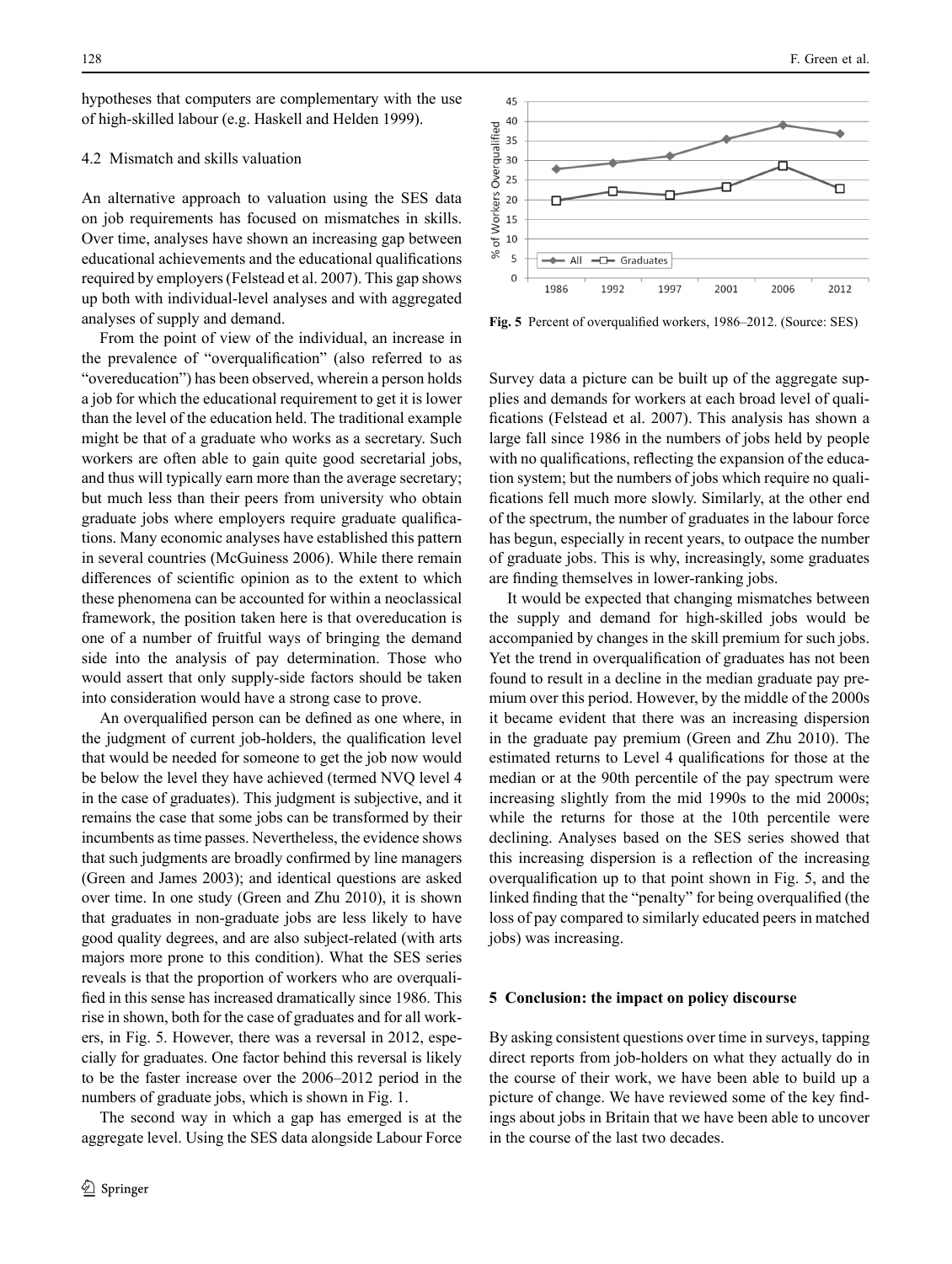hypotheses that computers are complementary with the use of high-skilled labour (e.g. Haskell and Helden [1999](#page-10-34)).

## 4.2 Mismatch and skills valuation

An alternative approach to valuation using the SES data on job requirements has focused on mismatches in skills. Over time, analyses have shown an increasing gap between educational achievements and the educational qualifications required by employers (Felstead et al. [2007\)](#page-10-5). This gap shows up both with individual-level analyses and with aggregated analyses of supply and demand.

From the point of view of the individual, an increase in the prevalence of "overqualification" (also referred to as "overeducation") has been observed, wherein a person holds a job for which the educational requirement to get it is lower than the level of the education held. The traditional example might be that of a graduate who works as a secretary. Such workers are often able to gain quite good secretarial jobs, and thus will typically earn more than the average secretary; but much less than their peers from university who obtain graduate jobs where employers require graduate qualifications. Many economic analyses have established this pattern in several countries (McGuiness [2006](#page-10-35)). While there remain differences of scientific opinion as to the extent to which these phenomena can be accounted for within a neoclassical framework, the position taken here is that overeducation is one of a number of fruitful ways of bringing the demand side into the analysis of pay determination. Those who would assert that only supply-side factors should be taken into consideration would have a strong case to prove.

An overqualified person can be defined as one where, in the judgment of current job-holders, the qualification level that would be needed for someone to get the job now would be below the level they have achieved (termed NVQ level 4 in the case of graduates). This judgment is subjective, and it remains the case that some jobs can be transformed by their incumbents as time passes. Nevertheless, the evidence shows that such judgments are broadly confirmed by line managers (Green and James [2003\)](#page-10-36); and identical questions are asked over time. In one study (Green and Zhu [2010\)](#page-10-33), it is shown that graduates in non-graduate jobs are less likely to have good quality degrees, and are also subject-related (with arts majors more prone to this condition). What the SES series reveals is that the proportion of workers who are overqualified in this sense has increased dramatically since 1986. This rise in shown, both for the case of graduates and for all workers, in Fig. [5](#page-7-0). However, there was a reversal in 2012, especially for graduates. One factor behind this reversal is likely to be the faster increase over the 2006–2012 period in the numbers of graduate jobs, which is shown in Fig. [1](#page-2-0).

The second way in which a gap has emerged is at the aggregate level. Using the SES data alongside Labour Force

<span id="page-7-0"></span>

**Fig. 5** Percent of overqualified workers, 1986–2012. (Source: SES)

Survey data a picture can be built up of the aggregate supplies and demands for workers at each broad level of qualifications (Felstead et al. [2007](#page-10-5)). This analysis has shown a large fall since 1986 in the numbers of jobs held by people with no qualifications, reflecting the expansion of the education system; but the numbers of jobs which require no qualifications fell much more slowly. Similarly, at the other end of the spectrum, the number of graduates in the labour force has begun, especially in recent years, to outpace the number of graduate jobs. This is why, increasingly, some graduates are finding themselves in lower-ranking jobs.

It would be expected that changing mismatches between the supply and demand for high-skilled jobs would be accompanied by changes in the skill premium for such jobs. Yet the trend in overqualification of graduates has not been found to result in a decline in the median graduate pay premium over this period. However, by the middle of the 2000s it became evident that there was an increasing dispersion in the graduate pay premium (Green and Zhu [2010](#page-10-33)). The estimated returns to Level 4 qualifications for those at the median or at the 90th percentile of the pay spectrum were increasing slightly from the mid 1990s to the mid 2000s; while the returns for those at the 10th percentile were declining. Analyses based on the SES series showed that this increasing dispersion is a reflection of the increasing overqualification up to that point shown in Fig. [5](#page-7-0), and the linked finding that the "penalty" for being overqualified (the loss of pay compared to similarly educated peers in matched jobs) was increasing.

#### **5 Conclusion: the impact on policy discourse**

By asking consistent questions over time in surveys, tapping direct reports from job-holders on what they actually do in the course of their work, we have been able to build up a picture of change. We have reviewed some of the key findings about jobs in Britain that we have been able to uncover in the course of the last two decades.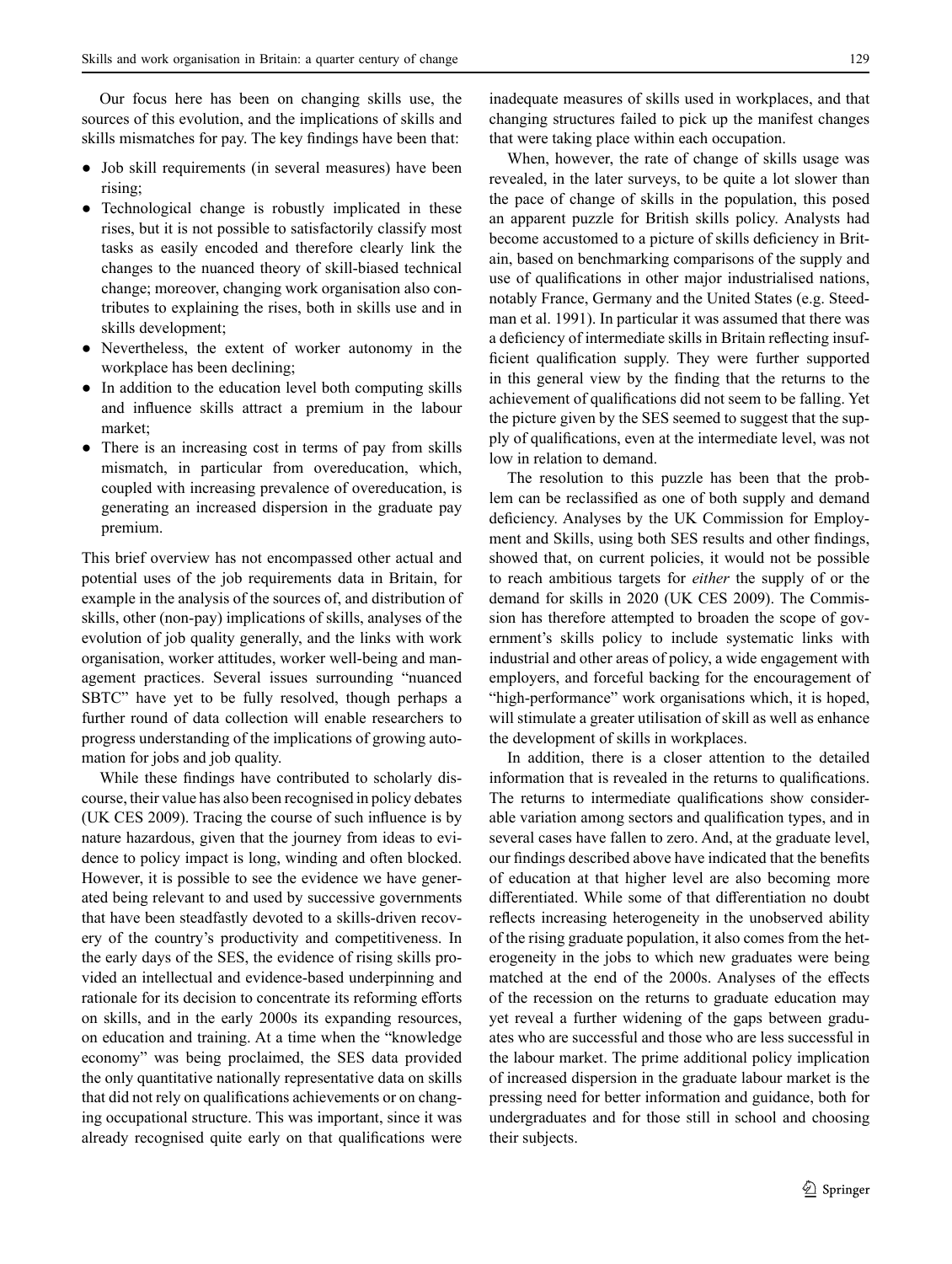Our focus here has been on changing skills use, the sources of this evolution, and the implications of skills and skills mismatches for pay. The key findings have been that:

- Job skill requirements (in several measures) have been rising;
- Technological change is robustly implicated in these rises, but it is not possible to satisfactorily classify most tasks as easily encoded and therefore clearly link the changes to the nuanced theory of skill-biased technical change; moreover, changing work organisation also contributes to explaining the rises, both in skills use and in skills development;
- Nevertheless, the extent of worker autonomy in the workplace has been declining;
- In addition to the education level both computing skills and influence skills attract a premium in the labour market;
- There is an increasing cost in terms of pay from skills mismatch, in particular from overeducation, which, coupled with increasing prevalence of overeducation, is generating an increased dispersion in the graduate pay premium.

This brief overview has not encompassed other actual and potential uses of the job requirements data in Britain, for example in the analysis of the sources of, and distribution of skills, other (non-pay) implications of skills, analyses of the evolution of job quality generally, and the links with work organisation, worker attitudes, worker well-being and management practices. Several issues surrounding "nuanced SBTC" have yet to be fully resolved, though perhaps a further round of data collection will enable researchers to progress understanding of the implications of growing automation for jobs and job quality.

While these findings have contributed to scholarly discourse, their value has also been recognised in policy debates (UK CES [2009](#page-10-38)). Tracing the course of such influence is by nature hazardous, given that the journey from ideas to evidence to policy impact is long, winding and often blocked. However, it is possible to see the evidence we have generated being relevant to and used by successive governments that have been steadfastly devoted to a skills-driven recovery of the country's productivity and competitiveness. In the early days of the SES, the evidence of rising skills provided an intellectual and evidence-based underpinning and rationale for its decision to concentrate its reforming efforts on skills, and in the early 2000s its expanding resources, on education and training. At a time when the "knowledge economy" was being proclaimed, the SES data provided the only quantitative nationally representative data on skills that did not rely on qualifications achievements or on changing occupational structure. This was important, since it was already recognised quite early on that qualifications were inadequate measures of skills used in workplaces, and that changing structures failed to pick up the manifest changes that were taking place within each occupation.

When, however, the rate of change of skills usage was revealed, in the later surveys, to be quite a lot slower than the pace of change of skills in the population, this posed an apparent puzzle for British skills policy. Analysts had become accustomed to a picture of skills deficiency in Britain, based on benchmarking comparisons of the supply and use of qualifications in other major industrialised nations, notably France, Germany and the United States (e.g. Steedman et al. [1991](#page-10-37)). In particular it was assumed that there was a deficiency of intermediate skills in Britain reflecting insufficient qualification supply. They were further supported in this general view by the finding that the returns to the achievement of qualifications did not seem to be falling. Yet the picture given by the SES seemed to suggest that the supply of qualifications, even at the intermediate level, was not low in relation to demand.

The resolution to this puzzle has been that the problem can be reclassified as one of both supply and demand deficiency. Analyses by the UK Commission for Employment and Skills, using both SES results and other findings, showed that, on current policies, it would not be possible to reach ambitious targets for *either* the supply of or the demand for skills in 2020 (UK CES [2009\)](#page-10-38). The Commission has therefore attempted to broaden the scope of government's skills policy to include systematic links with industrial and other areas of policy, a wide engagement with employers, and forceful backing for the encouragement of "high-performance" work organisations which, it is hoped, will stimulate a greater utilisation of skill as well as enhance the development of skills in workplaces.

In addition, there is a closer attention to the detailed information that is revealed in the returns to qualifications. The returns to intermediate qualifications show considerable variation among sectors and qualification types, and in several cases have fallen to zero. And, at the graduate level, our findings described above have indicated that the benefits of education at that higher level are also becoming more differentiated. While some of that differentiation no doubt reflects increasing heterogeneity in the unobserved ability of the rising graduate population, it also comes from the heterogeneity in the jobs to which new graduates were being matched at the end of the 2000s. Analyses of the effects of the recession on the returns to graduate education may yet reveal a further widening of the gaps between graduates who are successful and those who are less successful in the labour market. The prime additional policy implication of increased dispersion in the graduate labour market is the pressing need for better information and guidance, both for undergraduates and for those still in school and choosing their subjects.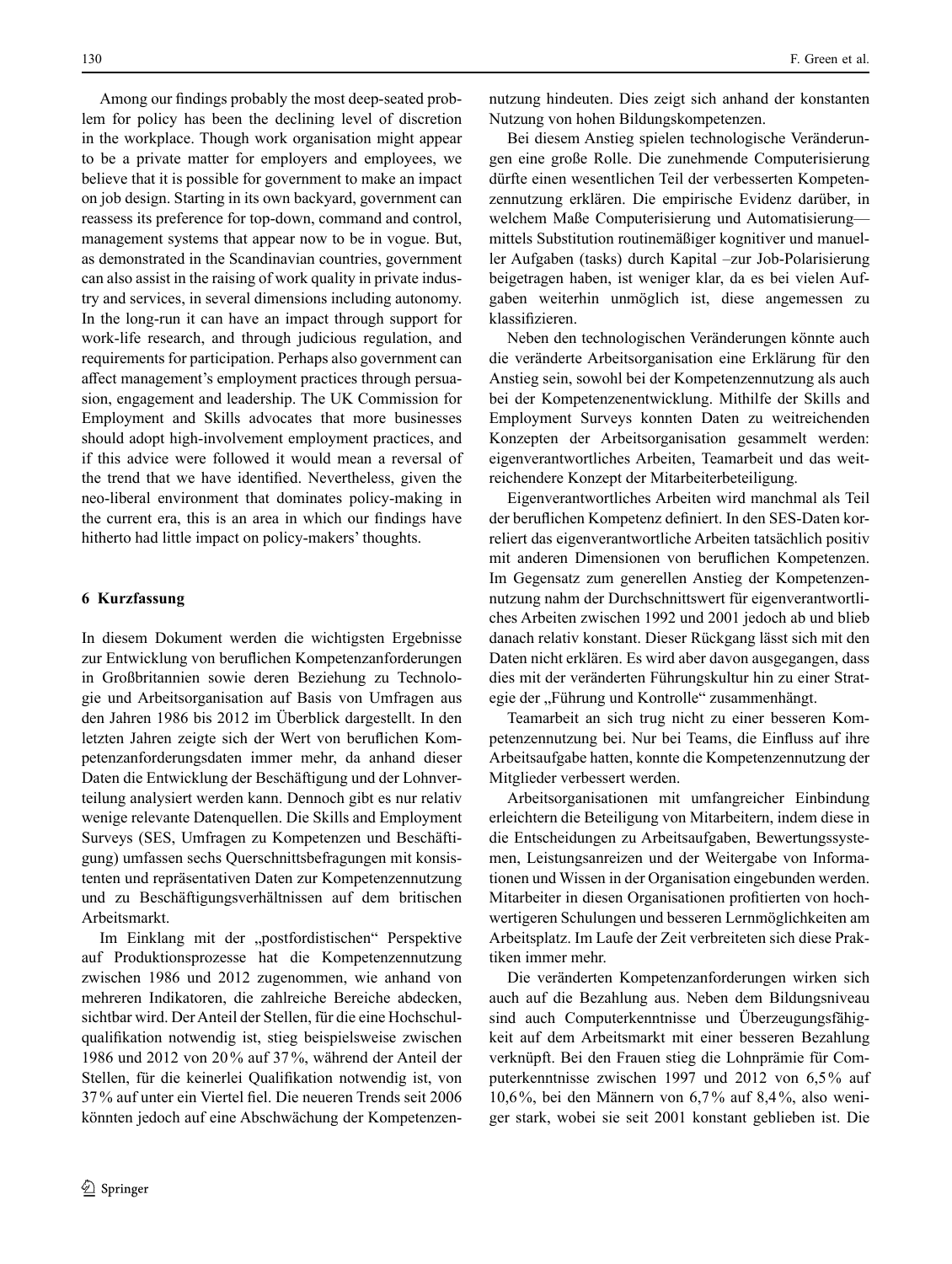Among our findings probably the most deep-seated problem for policy has been the declining level of discretion in the workplace. Though work organisation might appear to be a private matter for employers and employees, we believe that it is possible for government to make an impact on job design. Starting in its own backyard, government can reassess its preference for top-down, command and control, management systems that appear now to be in vogue. But, as demonstrated in the Scandinavian countries, government can also assist in the raising of work quality in private industry and services, in several dimensions including autonomy. In the long-run it can have an impact through support for work-life research, and through judicious regulation, and requirements for participation. Perhaps also government can affect management's employment practices through persuasion, engagement and leadership. The UK Commission for Employment and Skills advocates that more businesses should adopt high-involvement employment practices, and if this advice were followed it would mean a reversal of the trend that we have identified. Nevertheless, given the neo-liberal environment that dominates policy-making in the current era, this is an area in which our findings have hitherto had little impact on policy-makers' thoughts.

## **6 Kurzfassung**

In diesem Dokument werden die wichtigsten Ergebnisse zur Entwicklung von beruflichen Kompetenzanforderungen in Großbritannien sowie deren Beziehung zu Technologie und Arbeitsorganisation auf Basis von Umfragen aus den Jahren 1986 bis 2012 im Überblick dargestellt. In den letzten Jahren zeigte sich der Wert von beruflichen Kompetenzanforderungsdaten immer mehr, da anhand dieser Daten die Entwicklung der Beschäftigung und der Lohnverteilung analysiert werden kann. Dennoch gibt es nur relativ wenige relevante Datenquellen. Die Skills and Employment Surveys (SES, Umfragen zu Kompetenzen und Beschäftigung) umfassen sechs Querschnittsbefragungen mit konsistenten und repräsentativen Daten zur Kompetenzennutzung und zu Beschäftigungsverhältnissen auf dem britischen Arbeitsmarkt.

Im Einklang mit der "postfordistischen" Perspektive auf Produktionsprozesse hat die Kompetenzennutzung zwischen 1986 und 2012 zugenommen, wie anhand von mehreren Indikatoren, die zahlreiche Bereiche abdecken, sichtbar wird. Der Anteil der Stellen, für die eine Hochschulqualifikation notwendig ist, stieg beispielsweise zwischen 1986 und 2012 von 20% auf 37%, während der Anteil der Stellen, für die keinerlei Qualifikation notwendig ist, von 37% auf unter ein Viertel fiel. Die neueren Trends seit 2006 könnten jedoch auf eine Abschwächung der Kompetenzennutzung hindeuten. Dies zeigt sich anhand der konstanten Nutzung von hohen Bildungskompetenzen.

Bei diesem Anstieg spielen technologische Veränderungen eine große Rolle. Die zunehmende Computerisierung dürfte einen wesentlichen Teil der verbesserten Kompetenzennutzung erklären. Die empirische Evidenz darüber, in welchem Maße Computerisierung und Automatisierung mittels Substitution routinemäßiger kognitiver und manueller Aufgaben (tasks) durch Kapital –zur Job-Polarisierung beigetragen haben, ist weniger klar, da es bei vielen Aufgaben weiterhin unmöglich ist, diese angemessen zu klassifizieren.

Neben den technologischen Veränderungen könnte auch die veränderte Arbeitsorganisation eine Erklärung für den Anstieg sein, sowohl bei der Kompetenzennutzung als auch bei der Kompetenzenentwicklung. Mithilfe der Skills and Employment Surveys konnten Daten zu weitreichenden Konzepten der Arbeitsorganisation gesammelt werden: eigenverantwortliches Arbeiten, Teamarbeit und das weitreichendere Konzept der Mitarbeiterbeteiligung.

Eigenverantwortliches Arbeiten wird manchmal als Teil der beruflichen Kompetenz definiert. In den SES-Daten korreliert das eigenverantwortliche Arbeiten tatsächlich positiv mit anderen Dimensionen von beruflichen Kompetenzen. Im Gegensatz zum generellen Anstieg der Kompetenzennutzung nahm der Durchschnittswert für eigenverantwortliches Arbeiten zwischen 1992 und 2001 jedoch ab und blieb danach relativ konstant. Dieser Rückgang lässt sich mit den Daten nicht erklären. Es wird aber davon ausgegangen, dass dies mit der veränderten Führungskultur hin zu einer Strategie der "Führung und Kontrolle" zusammenhängt.

Teamarbeit an sich trug nicht zu einer besseren Kompetenzennutzung bei. Nur bei Teams, die Einfluss auf ihre Arbeitsaufgabe hatten, konnte die Kompetenzennutzung der Mitglieder verbessert werden.

Arbeitsorganisationen mit umfangreicher Einbindung erleichtern die Beteiligung von Mitarbeitern, indem diese in die Entscheidungen zu Arbeitsaufgaben, Bewertungssystemen, Leistungsanreizen und der Weitergabe von Informationen und Wissen in der Organisation eingebunden werden. Mitarbeiter in diesen Organisationen profitierten von hochwertigeren Schulungen und besseren Lernmöglichkeiten am Arbeitsplatz. Im Laufe der Zeit verbreiteten sich diese Praktiken immer mehr.

Die veränderten Kompetenzanforderungen wirken sich auch auf die Bezahlung aus. Neben dem Bildungsniveau sind auch Computerkenntnisse und Überzeugungsfähigkeit auf dem Arbeitsmarkt mit einer besseren Bezahlung verknüpft. Bei den Frauen stieg die Lohnprämie für Computerkenntnisse zwischen 1997 und 2012 von 6,5% auf 10,6%, bei den Männern von 6,7% auf 8,4%, also weniger stark, wobei sie seit 2001 konstant geblieben ist. Die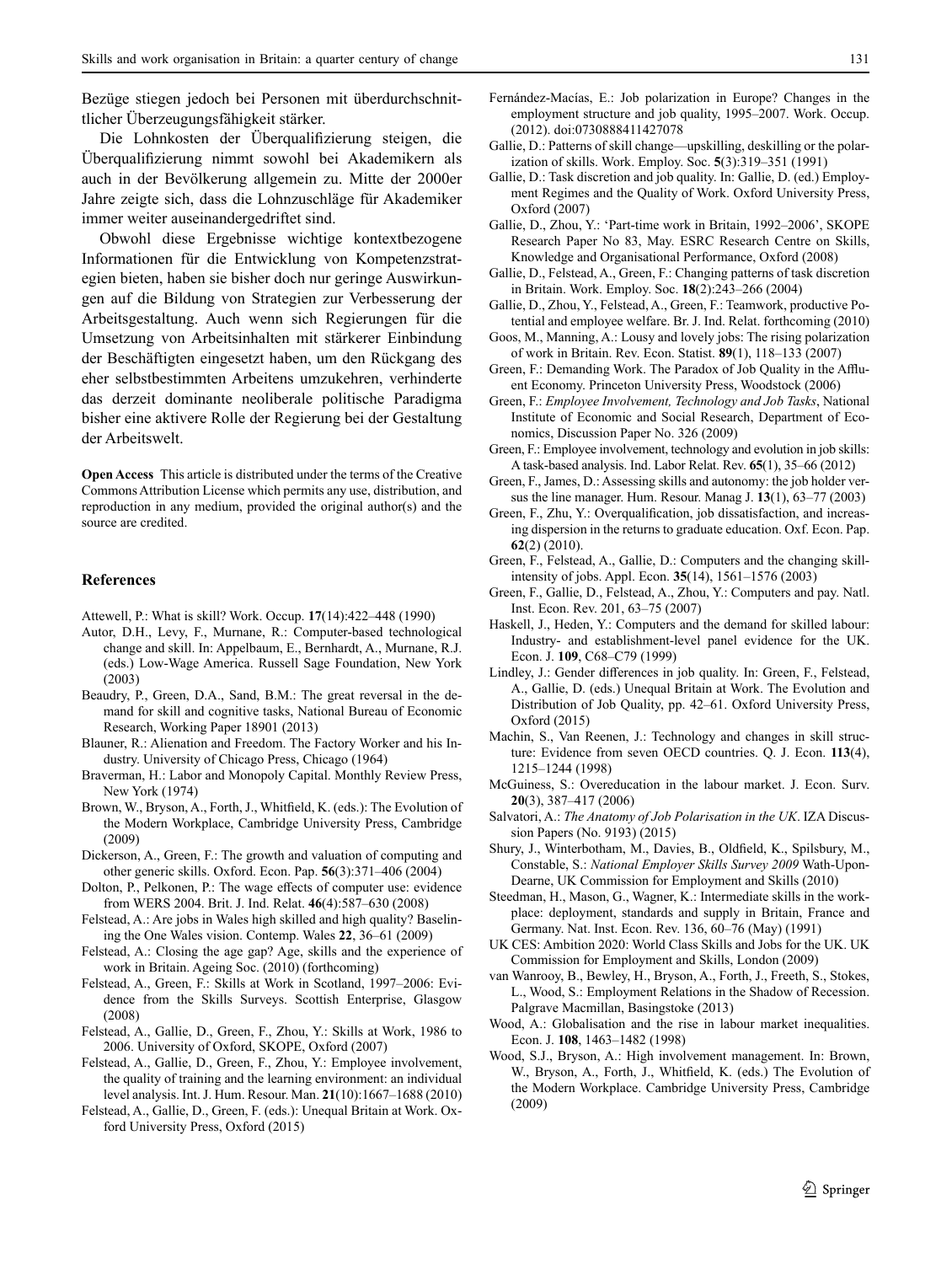Die Lohnkosten der Überqualifizierung steigen, die Überqualifizierung nimmt sowohl bei Akademikern als auch in der Bevölkerung allgemein zu. Mitte der 2000er Jahre zeigte sich, dass die Lohnzuschläge für Akademiker immer weiter auseinandergedriftet sind.

Obwohl diese Ergebnisse wichtige kontextbezogene Informationen für die Entwicklung von Kompetenzstrategien bieten, haben sie bisher doch nur geringe Auswirkungen auf die Bildung von Strategien zur Verbesserung der Arbeitsgestaltung. Auch wenn sich Regierungen für die Umsetzung von Arbeitsinhalten mit stärkerer Einbindung der Beschäftigten eingesetzt haben, um den Rückgang des eher selbstbestimmten Arbeitens umzukehren, verhinderte das derzeit dominante neoliberale politische Paradigma bisher eine aktivere Rolle der Regierung bei der Gestaltung der Arbeitswelt.

**Open Access** This article is distributed under the terms of the Creative Commons Attribution License which permits any use, distribution, and reproduction in any medium, provided the original author(s) and the source are credited.

#### **References**

- <span id="page-10-17"></span>Attewell, P.: What is skill? Work. Occup. **17**(14):422–448 (1990)
- <span id="page-10-18"></span>Autor, D.H., Levy, F., Murnane, R.: Computer-based technological change and skill. In: Appelbaum, E., Bernhardt, A., Murnane, R.J. (eds.) Low-Wage America. Russell Sage Foundation, New York (2003)
- <span id="page-10-4"></span>Beaudry, P., Green, D.A., Sand, B.M.: The great reversal in the demand for skill and cognitive tasks, National Bureau of Economic Research, Working Paper 18901 (2013)
- <span id="page-10-10"></span>Blauner, R.: Alienation and Freedom. The Factory Worker and his Industry. University of Chicago Press, Chicago (1964)
- <span id="page-10-9"></span>Braverman, H.: Labor and Monopoly Capital. Monthly Review Press, New York (1974)
- <span id="page-10-28"></span>Brown, W., Bryson, A., Forth, J., Whitfield, K. (eds.): The Evolution of the Modern Workplace, Cambridge University Press, Cambridge (2009)
- <span id="page-10-31"></span>Dickerson, A., Green, F.: The growth and valuation of computing and other generic skills. Oxford. Econ. Pap. **56**(3):371–406 (2004)
- <span id="page-10-30"></span>Dolton, P., Pelkonen, P.: The wage effects of computer use: evidence from WERS 2004. Brit. J. Ind. Relat. **46**(4):587–630 (2008)
- <span id="page-10-2"></span>Felstead, A.: Are jobs in Wales high skilled and high quality? Baselining the One Wales vision. Contemp. Wales **22**, 36–61 (2009)
- <span id="page-10-8"></span>Felstead, A.: Closing the age gap? Age, skills and the experience of work in Britain. Ageing Soc. (2010) (forthcoming)
- <span id="page-10-3"></span>Felstead, A., Green, F.: Skills at Work in Scotland, 1997–2006: Evidence from the Skills Surveys. Scottish Enterprise, Glasgow (2008)
- <span id="page-10-5"></span>Felstead, A., Gallie, D., Green, F., Zhou, Y.: Skills at Work, 1986 to 2006. University of Oxford, SKOPE, Oxford (2007)
- <span id="page-10-26"></span>Felstead, A., Gallie, D., Green, F., Zhou, Y.: Employee involvement, the quality of training and the learning environment: an individual level analysis. Int. J. Hum. Resour. Man. **21**(10):1667–1688 (2010)
- <span id="page-10-1"></span>Felstead, A., Gallie, D., Green, F. (eds.): Unequal Britain at Work. Oxford University Press, Oxford (2015)
- <span id="page-10-22"></span>Fernández-Macías, E.: Job polarization in Europe? Changes in the employment structure and job quality, 1995–2007. Work. Occup. (2012). doi:0730888411427078
- <span id="page-10-13"></span>Gallie, D.: Patterns of skill change—upskilling, deskilling or the polarization of skills. Work. Employ. Soc. **5**(3):319–351 (1991)
- <span id="page-10-23"></span>Gallie, D.: Task discretion and job quality. In: Gallie, D. (ed.) Employment Regimes and the Quality of Work. Oxford University Press, Oxford (2007)
- <span id="page-10-7"></span>Gallie, D., Zhou, Y.: 'Part-time work in Britain, 1992–2006', SKOPE Research Paper No 83, May. ESRC Research Centre on Skills, Knowledge and Organisational Performance, Oxford (2008)
- <span id="page-10-16"></span>Gallie, D., Felstead, A., Green, F.: Changing patterns of task discretion in Britain. Work. Employ. Soc. **18**(2):243–266 (2004)
- <span id="page-10-25"></span>Gallie, D., Zhou, Y., Felstead, A., Green, F.: Teamwork, productive Potential and employee welfare. Br. J. Ind. Relat. forthcoming (2010)
- <span id="page-10-20"></span>Goos, M., Manning, A.: Lousy and lovely jobs: The rising polarization of work in Britain. Rev. Econ. Statist. **89**(1), 118–133 (2007)
- <span id="page-10-24"></span>Green, F.: Demanding Work. The Paradox of Job Quality in the Affluent Economy. Princeton University Press, Woodstock (2006)
- <span id="page-10-6"></span>Green, F.: *Employee Involvement, Technology and Job Tasks*, National Institute of Economic and Social Research, Department of Economics, Discussion Paper No. 326 (2009)
- <span id="page-10-15"></span>Green, F.: Employee involvement, technology and evolution in job skills: A task-based analysis. Ind. Labor Relat. Rev. **65**(1), 35–66 (2012)
- <span id="page-10-36"></span>Green, F., James, D.: Assessing skills and autonomy: the job holder versus the line manager. Hum. Resour. Manag J. **13**(1), 63–77 (2003)
- <span id="page-10-33"></span>Green, F., Zhu, Y.: Overqualification, job dissatisfaction, and increasing dispersion in the returns to graduate education. Oxf. Econ. Pap. **62**(2) (2010).
- <span id="page-10-19"></span>Green, F., Felstead, A., Gallie, D.: Computers and the changing skillintensity of jobs. Appl. Econ. **35**(14), 1561–1576 (2003)
- <span id="page-10-32"></span>Green, F., Gallie, D., Felstead, A., Zhou, Y.: Computers and pay. Natl. Inst. Econ. Rev. 201, 63–75 (2007)
- <span id="page-10-34"></span>Haskell, J., Heden, Y.: Computers and the demand for skilled labour: Industry- and establishment-level panel evidence for the UK. Econ. J. **109**, C68–C79 (1999)
- <span id="page-10-14"></span>Lindley, J.: Gender differences in job quality. In: Green, F., Felstead, A., Gallie, D. (eds.) Unequal Britain at Work. The Evolution and Distribution of Job Quality, pp. 42–61. Oxford University Press, Oxford (2015)
- <span id="page-10-11"></span>Machin, S., Van Reenen, J.: Technology and changes in skill structure: Evidence from seven OECD countries. Q. J. Econ. **113**(4), 1215–1244 (1998)
- <span id="page-10-35"></span>McGuiness, S.: Overeducation in the labour market. J. Econ. Surv. **20**(3), 387–417 (2006)
- <span id="page-10-21"></span>Salvatori, A.: *The Anatomy of Job Polarisation in the UK*. IZA Discussion Papers (No. 9193) (2015)
- <span id="page-10-0"></span>Shury, J., Winterbotham, M., Davies, B., Oldfield, K., Spilsbury, M., Constable, S.: *National Employer Skills Survey 2009* Wath-Upon-Dearne, UK Commission for Employment and Skills (2010)
- <span id="page-10-37"></span>Steedman, H., Mason, G., Wagner, K.: Intermediate skills in the workplace: deployment, standards and supply in Britain, France and Germany. Nat. Inst. Econ. Rev. 136, 60–76 (May) (1991)
- <span id="page-10-38"></span>UK CES: Ambition 2020: World Class Skills and Jobs for the UK. UK Commission for Employment and Skills, London (2009)
- <span id="page-10-29"></span>van Wanrooy, B., Bewley, H., Bryson, A., Forth, J., Freeth, S., Stokes, L., Wood, S.: Employment Relations in the Shadow of Recession. Palgrave Macmillan, Basingstoke (2013)
- <span id="page-10-12"></span>Wood, A.: Globalisation and the rise in labour market inequalities. Econ. J. **108**, 1463–1482 (1998)
- <span id="page-10-27"></span>Wood, S.J., Bryson, A.: High involvement management. In: Brown, W., Bryson, A., Forth, J., Whitfield, K. (eds.) The Evolution of the Modern Workplace. Cambridge University Press, Cambridge (2009)